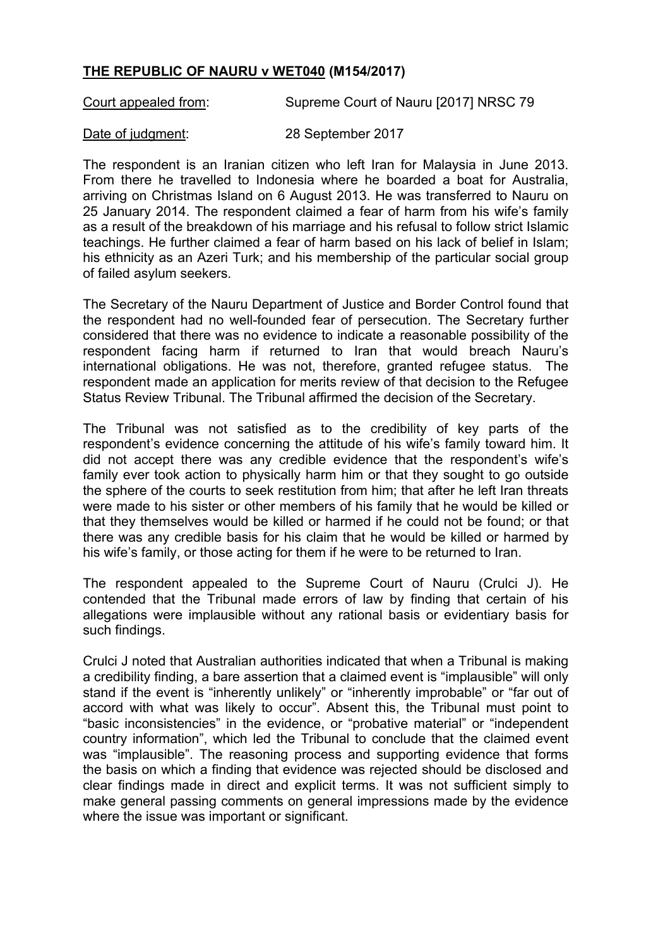## **THE REPUBLIC OF NAURU v WET040 (M154/2017)**

Court appealed from: Supreme Court of Nauru [2017] NRSC 79

Date of judgment: 28 September 2017

The respondent is an Iranian citizen who left Iran for Malaysia in June 2013. From there he travelled to Indonesia where he boarded a boat for Australia, arriving on Christmas Island on 6 August 2013. He was transferred to Nauru on 25 January 2014. The respondent claimed a fear of harm from his wife's family as a result of the breakdown of his marriage and his refusal to follow strict Islamic teachings. He further claimed a fear of harm based on his lack of belief in Islam; his ethnicity as an Azeri Turk; and his membership of the particular social group of failed asylum seekers.

The Secretary of the Nauru Department of Justice and Border Control found that the respondent had no well-founded fear of persecution. The Secretary further considered that there was no evidence to indicate a reasonable possibility of the respondent facing harm if returned to Iran that would breach Nauru's international obligations. He was not, therefore, granted refugee status. The respondent made an application for merits review of that decision to the Refugee Status Review Tribunal. The Tribunal affirmed the decision of the Secretary.

The Tribunal was not satisfied as to the credibility of key parts of the respondent's evidence concerning the attitude of his wife's family toward him. It did not accept there was any credible evidence that the respondent's wife's family ever took action to physically harm him or that they sought to go outside the sphere of the courts to seek restitution from him; that after he left Iran threats were made to his sister or other members of his family that he would be killed or that they themselves would be killed or harmed if he could not be found; or that there was any credible basis for his claim that he would be killed or harmed by his wife's family, or those acting for them if he were to be returned to Iran.

The respondent appealed to the Supreme Court of Nauru (Crulci J). He contended that the Tribunal made errors of law by finding that certain of his allegations were implausible without any rational basis or evidentiary basis for such findings.

Crulci J noted that Australian authorities indicated that when a Tribunal is making a credibility finding, a bare assertion that a claimed event is "implausible" will only stand if the event is "inherently unlikely" or "inherently improbable" or "far out of accord with what was likely to occur". Absent this, the Tribunal must point to "basic inconsistencies" in the evidence, or "probative material" or "independent country information", which led the Tribunal to conclude that the claimed event was "implausible". The reasoning process and supporting evidence that forms the basis on which a finding that evidence was rejected should be disclosed and clear findings made in direct and explicit terms. It was not sufficient simply to make general passing comments on general impressions made by the evidence where the issue was important or significant.